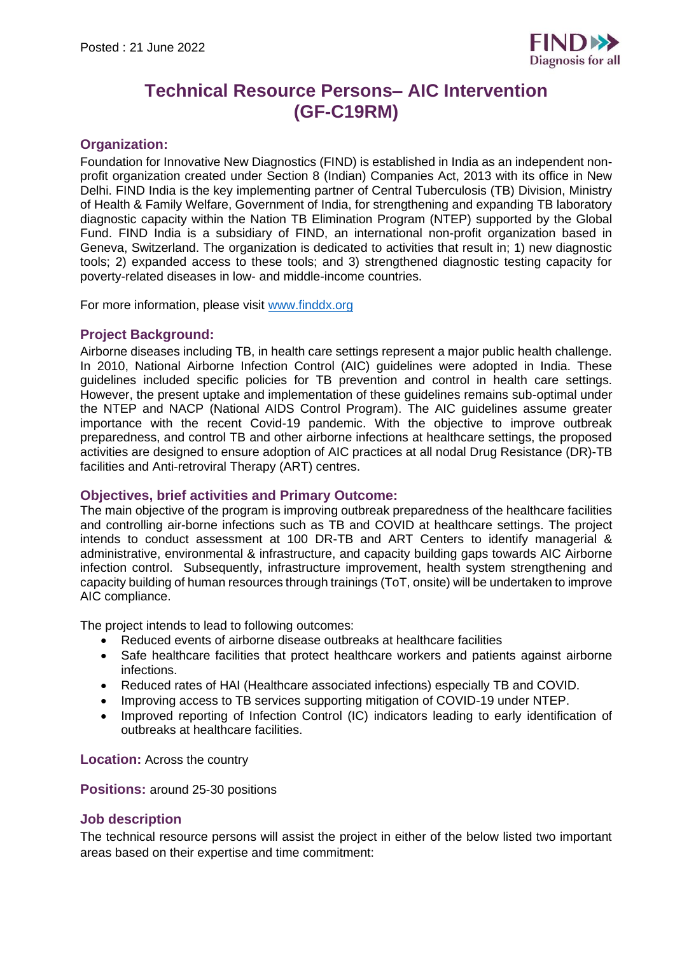

# **Technical Resource Persons– AIC Intervention (GF-C19RM)**

# **Organization:**

Foundation for Innovative New Diagnostics (FIND) is established in India as an independent nonprofit organization created under Section 8 (Indian) Companies Act, 2013 with its office in New Delhi. FIND India is the key implementing partner of Central Tuberculosis (TB) Division, Ministry of Health & Family Welfare, Government of India, for strengthening and expanding TB laboratory diagnostic capacity within the Nation TB Elimination Program (NTEP) supported by the Global Fund. FIND India is a subsidiary of FIND, an international non-profit organization based in Geneva, Switzerland. The organization is dedicated to activities that result in; 1) new diagnostic tools; 2) expanded access to these tools; and 3) strengthened diagnostic testing capacity for poverty-related diseases in low- and middle-income countries.

For more information, please visit [www.finddx.org](http://www.finddx.org/)

## **Project Background:**

Airborne diseases including TB, in health care settings represent a major public health challenge. In 2010, National Airborne Infection Control (AIC) guidelines were adopted in India. These guidelines included specific policies for TB prevention and control in health care settings. However, the present uptake and implementation of these guidelines remains sub-optimal under the NTEP and NACP (National AIDS Control Program). The AIC guidelines assume greater importance with the recent Covid-19 pandemic. With the objective to improve outbreak preparedness, and control TB and other airborne infections at healthcare settings, the proposed activities are designed to ensure adoption of AIC practices at all nodal Drug Resistance (DR)-TB facilities and Anti-retroviral Therapy (ART) centres.

#### **Objectives, brief activities and Primary Outcome:**

The main objective of the program is improving outbreak preparedness of the healthcare facilities and controlling air-borne infections such as TB and COVID at healthcare settings. The project intends to conduct assessment at 100 DR-TB and ART Centers to identify managerial & administrative, environmental & infrastructure, and capacity building gaps towards AIC Airborne infection control. Subsequently, infrastructure improvement, health system strengthening and capacity building of human resources through trainings (ToT, onsite) will be undertaken to improve AIC compliance.

The project intends to lead to following outcomes:

- Reduced events of airborne disease outbreaks at healthcare facilities
- Safe healthcare facilities that protect healthcare workers and patients against airborne infections.
- Reduced rates of HAI (Healthcare associated infections) especially TB and COVID.
- Improving access to TB services supporting mitigation of COVID-19 under NTEP.
- Improved reporting of Infection Control (IC) indicators leading to early identification of outbreaks at healthcare facilities.

**Location:** Across the country

**Positions:** around 25-30 positions

#### **Job description**

The technical resource persons will assist the project in either of the below listed two important areas based on their expertise and time commitment: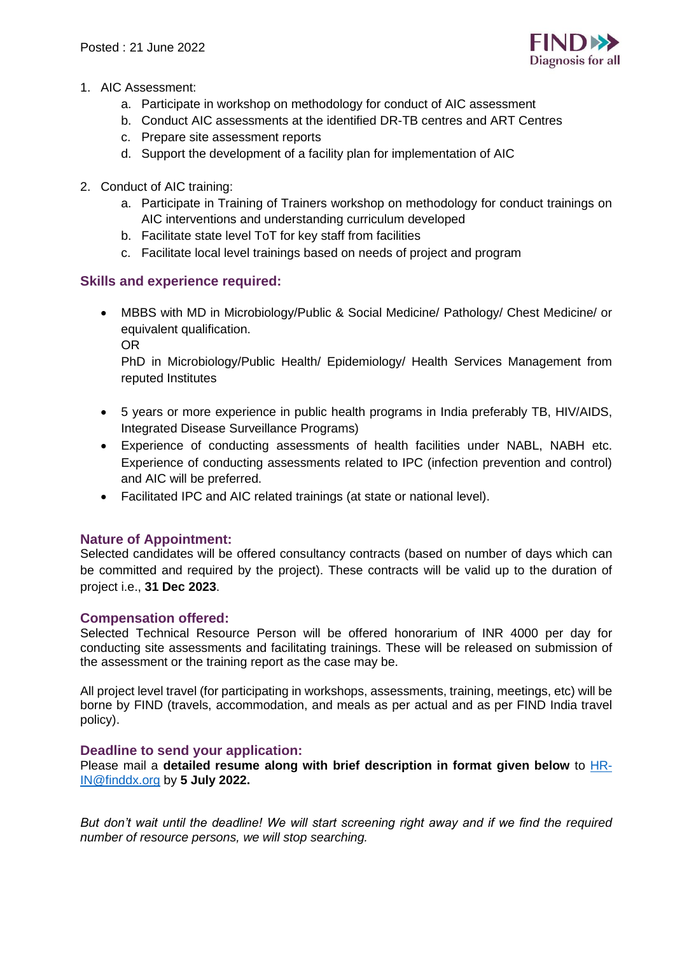

- 1. AIC Assessment:
	- a. Participate in workshop on methodology for conduct of AIC assessment
	- b. Conduct AIC assessments at the identified DR-TB centres and ART Centres
	- c. Prepare site assessment reports
	- d. Support the development of a facility plan for implementation of AIC
- 2. Conduct of AIC training:
	- a. Participate in Training of Trainers workshop on methodology for conduct trainings on AIC interventions and understanding curriculum developed
	- b. Facilitate state level ToT for key staff from facilities
	- c. Facilitate local level trainings based on needs of project and program

## **Skills and experience required:**

• MBBS with MD in Microbiology/Public & Social Medicine/ Pathology/ Chest Medicine/ or equivalent qualification.

OR

PhD in Microbiology/Public Health/ Epidemiology/ Health Services Management from reputed Institutes

- 5 years or more experience in public health programs in India preferably TB, HIV/AIDS, Integrated Disease Surveillance Programs)
- Experience of conducting assessments of health facilities under NABL, NABH etc. Experience of conducting assessments related to IPC (infection prevention and control) and AIC will be preferred.
- Facilitated IPC and AIC related trainings (at state or national level).

#### **Nature of Appointment:**

Selected candidates will be offered consultancy contracts (based on number of days which can be committed and required by the project). These contracts will be valid up to the duration of project i.e., **31 Dec 2023**.

#### **Compensation offered:**

Selected Technical Resource Person will be offered honorarium of INR 4000 per day for conducting site assessments and facilitating trainings. These will be released on submission of the assessment or the training report as the case may be.

All project level travel (for participating in workshops, assessments, training, meetings, etc) will be borne by FIND (travels, accommodation, and meals as per actual and as per FIND India travel policy).

#### **Deadline to send your application:**

Please mail a **detailed resume along with brief description in format given below** to [HR-](mailto:HR-IN@finddx.org)[IN@finddx.org](mailto:HR-IN@finddx.org) by **5 July 2022.**

*But don't wait until the deadline! We will start screening right away and if we find the required number of resource persons, we will stop searching.*